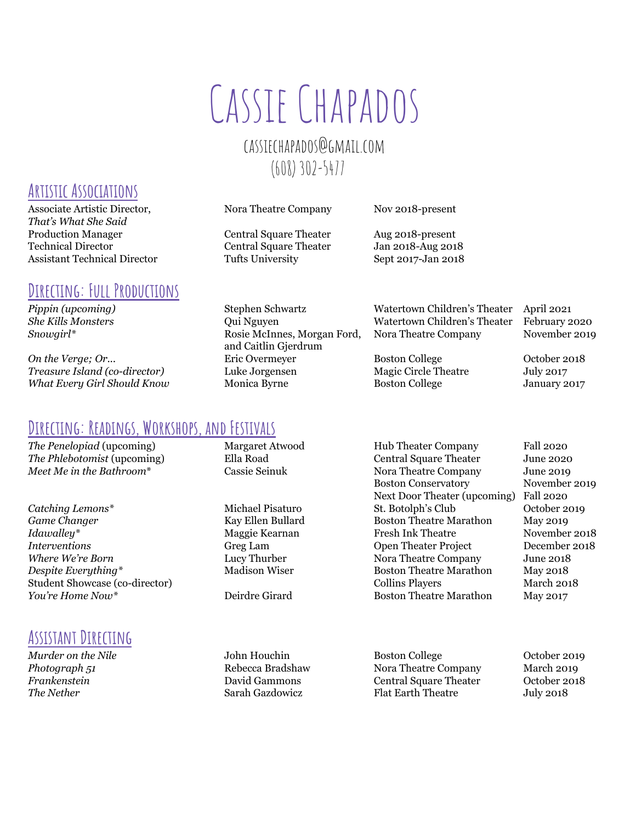# Cassie Chapados

# [cassiechapados@gmail.com](mailto:cassiechapados@gmail.com) (608) 302-5477

and Caitlin Gjerdrum

*Pippin (upcoming)* Stephen Schwartz Watertown Children's Theater April 2021 *She Kills Monsters* Qui Nguyen Watertown Children's Theater February 2020 *Snowgirl\** Rosie McInnes, Morgan Ford, Nora Theatre Company November 2019

**Directing: Readings, Workshops, and Festivals**

*The Penelopiad* (upcoming) Margaret Atwood Hub Theater Company Fall 2020

**Game Changer Kay Ellen Bullard** Boston Theatre Marathon May 2019 *Idawalley\** Maggie Kearnan Fresh Ink Theatre November 2018 *Interventions* Greg Lam Open Theater Project December 2018 *Where We're Born* Lucy Thurber Nora Theatre Company June 2018 *Despite Everything*\* The **Madison Wiser** Max 2018 Student Showcase (co-director) and the collins Players Collins Players March 2018 *You're Home Now\** Deirdre Girard Boston Theatre Marathon May 2017

## ASSISTANT DIRECTING

*The Phlebotomist* (upcoming) Ella Road Central Square Theater June 2020 *Meet Me in the Bathroom*\* Cassie Seinuk Nora Theatre Company June 2019 Boston Conservatory November 2019 Next Door Theater (upcoming) Fall 2020 Catching *Lemons*<sup>\*</sup> Michael Pisaturo St. Botolph's Club October 2019

*Murder* on the Nile **Solution** John Houchin **Boston College College** October 2019 **Photograph 51** Rebecca Bradshaw Nora Theatre Company March 2019 *Frankenstein* David Gammons Central Square Theater October 2018 **The Nether Sarah Gazdowicz** Flat Earth Theatre July 2018

## **Artistic Associations**

Associate Artistic Director, Nora Theatre Company Nov 2018-present *That's What She Said* Production Manager Central Square Theater Aug 2018-present Technical Director Central Square Theater Jan 2018-Aug 2018 Assistant Technical Director Tufts University Sept 2017-Jan 2018

#### **Directing: Full Productions**

**On the Verge; Or...** Eric Overmeyer Boston College October 2018 *Treasure Island (co-director)* Luke Jorgensen Magic Circle Theatre July 2017 *What Every Girl Should Know* Monica Byrne Boston College January 2017